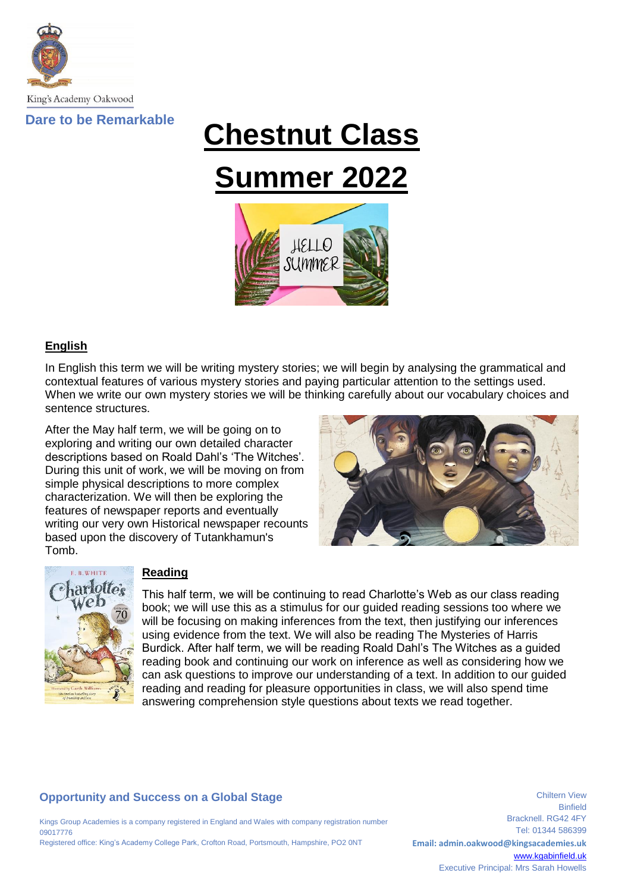

# **Chestnut Class Summer 2022**



## **English**

In English this term we will be writing mystery stories; we will begin by analysing the grammatical and contextual features of various mystery stories and paying particular attention to the settings used. When we write our own mystery stories we will be thinking carefully about our vocabulary choices and sentence structures.

After the May half term, we will be going on to exploring and writing our own detailed character descriptions based on Roald Dahl's 'The Witches'. During this unit of work, we will be moving on from simple physical descriptions to more complex characterization. We will then be exploring the features of newspaper reports and eventually writing our very own Historical newspaper recounts based upon the discovery of Tutankhamun's Tomb.





#### **Reading**

This half term, we will be continuing to read Charlotte's Web as our class reading book; we will use this as a stimulus for our guided reading sessions too where we will be focusing on making inferences from the text, then justifying our inferences using evidence from the text. We will also be reading The Mysteries of Harris Burdick. After half term, we will be reading Roald Dahl's The Witches as a guided reading book and continuing our work on inference as well as considering how we can ask questions to improve our understanding of a text. In addition to our guided reading and reading for pleasure opportunities in class, we will also spend time answering comprehension style questions about texts we read together.

# **Opportunity and Success on a Global Stage**

Kings Group Academies is a company registered in England and Wales with company registration number 09017776 Registered office: King's Academy College Park, Crofton Road, Portsmouth, Hampshire, PO2 0NT

Binfield Bracknell. RG42 4FY Tel: 01344 586399 **Email: admin.oakwood@kingsacademies.uk** [www.kgabinfield.uk](http://www.kgabinfield.uk/) Executive Principal: Mrs Sarah Howells

Chiltern View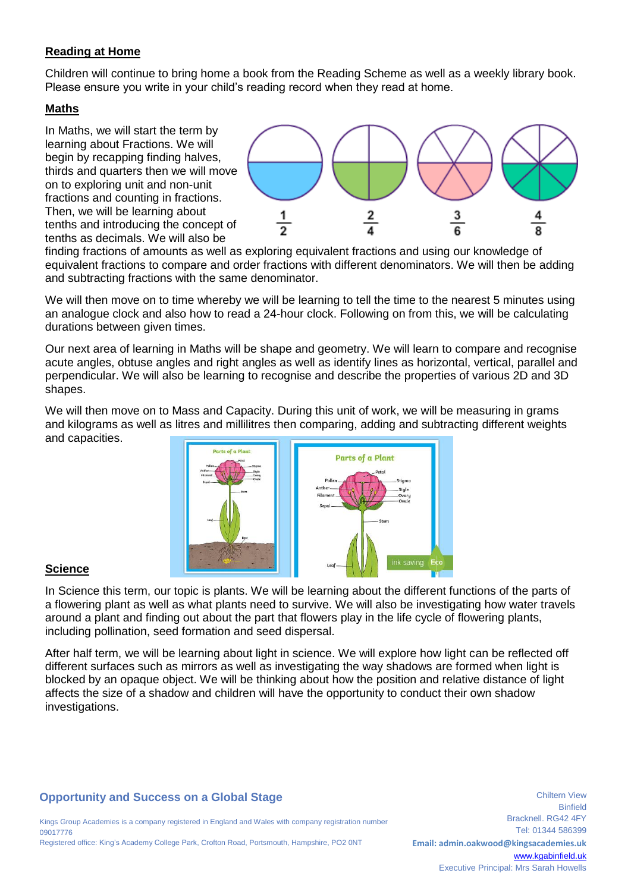## **Reading at Home**

Children will continue to bring home a book from the Reading Scheme as well as a weekly library book. Please ensure you write in your child's reading record when they read at home.

#### **Maths**

In Maths, we will start the term by learning about Fractions. We will begin by recapping finding halves, thirds and quarters then we will move on to exploring unit and non-unit fractions and counting in fractions. Then, we will be learning about tenths and introducing the concept of tenths as decimals. We will also be



finding fractions of amounts as well as exploring equivalent fractions and using our knowledge of equivalent fractions to compare and order fractions with different denominators. We will then be adding and subtracting fractions with the same denominator.

We will then move on to time whereby we will be learning to tell the time to the nearest 5 minutes using an analogue clock and also how to read a 24-hour clock. Following on from this, we will be calculating durations between given times.

Our next area of learning in Maths will be shape and geometry. We will learn to compare and recognise acute angles, obtuse angles and right angles as well as identify lines as horizontal, vertical, parallel and perpendicular. We will also be learning to recognise and describe the properties of various 2D and 3D shapes.

We will then move on to Mass and Capacity. During this unit of work, we will be measuring in grams and kilograms as well as litres and millilitres then comparing, adding and subtracting different weights and capacities.



#### **Science**

In Science this term, our topic is plants. We will be learning about the different functions of the parts of a flowering plant as well as what plants need to survive. We will also be investigating how water travels around a plant and finding out about the part that flowers play in the life cycle of flowering plants, including pollination, seed formation and seed dispersal.

After half term, we will be learning about light in science. We will explore how light can be reflected off different surfaces such as mirrors as well as investigating the way shadows are formed when light is blocked by an opaque object. We will be thinking about how the position and relative distance of light affects the size of a shadow and children will have the opportunity to conduct their own shadow investigations.

#### **Opportunity and Success on a Global Stage**

Kings Group Academies is a company registered in England and Wales with company registration number 09017776 Registered office: King's Academy College Park, Crofton Road, Portsmouth, Hampshire, PO2 0NT

Binfield Bracknell. RG42 4FY Tel: 01344 586399 **Email: admin.oakwood@kingsacademies.uk** [www.kgabinfield.uk](http://www.kgabinfield.uk/) Executive Principal: Mrs Sarah Howells

Chiltern View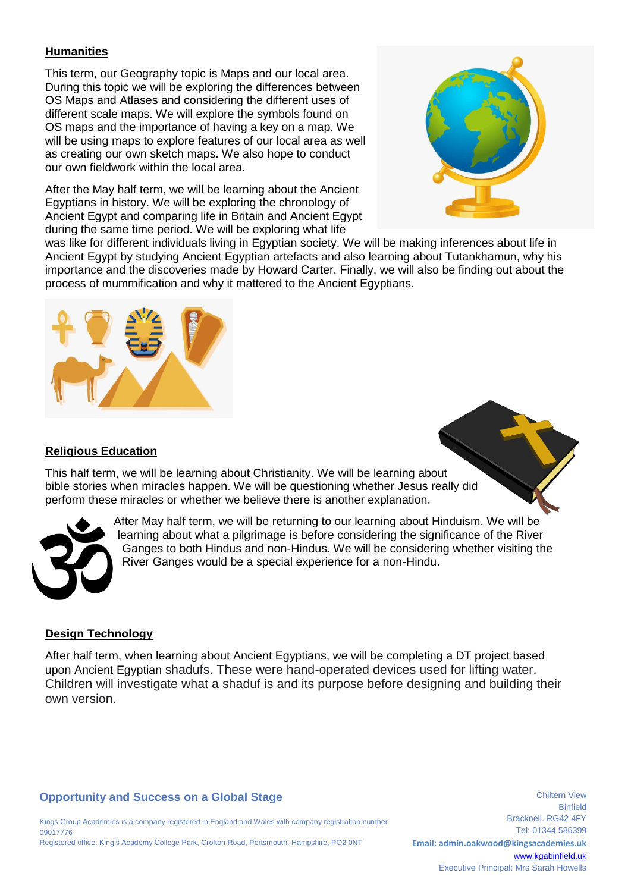# **Humanities**

This term, our Geography topic is Maps and our local area. During this topic we will be exploring the differences between OS Maps and Atlases and considering the different uses of different scale maps. We will explore the symbols found on OS maps and the importance of having a key on a map. We will be using maps to explore features of our local area as well as creating our own sketch maps. We also hope to conduct our own fieldwork within the local area.

After the May half term, we will be learning about the Ancient Egyptians in history. We will be exploring the chronology of Ancient Egypt and comparing life in Britain and Ancient Egypt during the same time period. We will be exploring what life



was like for different individuals living in Egyptian society. We will be making inferences about life in Ancient Egypt by studying Ancient Egyptian artefacts and also learning about Tutankhamun, why his importance and the discoveries made by Howard Carter. Finally, we will also be finding out about the process of mummification and why it mattered to the Ancient Egyptians.

# **Religious Education**

This half term, we will be learning about Christianity. We will be learning about bible stories when miracles happen. We will be questioning whether Jesus really did perform these miracles or whether we believe there is another explanation.



After May half term, we will be returning to our learning about Hinduism. We will be learning about what a pilgrimage is before considering the significance of the River Ganges to both Hindus and non-Hindus. We will be considering whether visiting the River Ganges would be a special experience for a non-Hindu.

#### **Design Technology**

After half term, when learning about Ancient Egyptians, we will be completing a DT project based upon Ancient Egyptian shadufs. These were hand-operated devices used for lifting water. Children will investigate what a shaduf is and its purpose before designing and building their own version.

#### **Opportunity and Success on a Global Stage**

Kings Group Academies is a company registered in England and Wales with company registration number 09017776 Registered office: King's Academy College Park, Crofton Road, Portsmouth, Hampshire, PO2 0NT

Binfield Bracknell. RG42 4FY Tel: 01344 586399 **Email: admin.oakwood@kingsacademies.uk** [www.kgabinfield.uk](http://www.kgabinfield.uk/) Executive Principal: Mrs Sarah Howells

Chiltern View